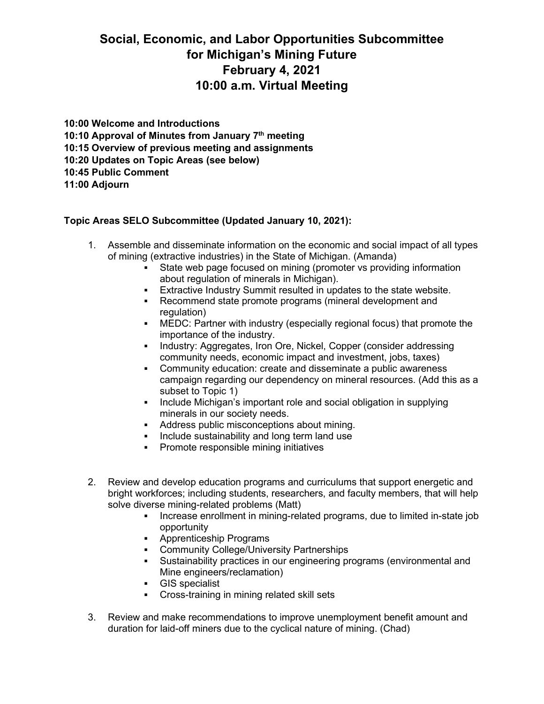## **Social, Economic, and Labor Opportunities Subcommittee for Michigan's Mining Future February 4, 2021 10:00 a.m. Virtual Meeting**

**10:00 Welcome and Introductions 10:10 Approval of Minutes from January 7th meeting 10:15 Overview of previous meeting and assignments 10:20 Updates on Topic Areas (see below) 10:45 Public Comment 11:00 Adjourn**

## **Topic Areas SELO Subcommittee (Updated January 10, 2021):**

- 1. Assemble and disseminate information on the economic and social impact of all types of mining (extractive industries) in the State of Michigan. (Amanda)
	- State web page focused on mining (promoter vs providing information about regulation of minerals in Michigan).
	- Extractive Industry Summit resulted in updates to the state website.
	- Recommend state promote programs (mineral development and regulation)
	- MEDC: Partner with industry (especially regional focus) that promote the importance of the industry.
	- Industry: Aggregates, Iron Ore, Nickel, Copper (consider addressing community needs, economic impact and investment, jobs, taxes)
	- Community education: create and disseminate a public awareness campaign regarding our dependency on mineral resources. (Add this as a subset to Topic 1)
	- **Include Michigan's important role and social obligation in supplying** minerals in our society needs.
	- Address public misconceptions about mining.
	- **Include sustainability and long term land use**
	- **•** Promote responsible mining initiatives
- 2. Review and develop education programs and curriculums that support energetic and bright workforces; including students, researchers, and faculty members, that will help solve diverse mining-related problems (Matt)
	- Increase enrollment in mining-related programs, due to limited in-state job opportunity
	- **Apprenticeship Programs**
	- **Community College/University Partnerships**
	- Sustainability practices in our engineering programs (environmental and Mine engineers/reclamation)
	- GIS specialist
	- **•** Cross-training in mining related skill sets
- 3. Review and make recommendations to improve unemployment benefit amount and duration for laid-off miners due to the cyclical nature of mining. (Chad)